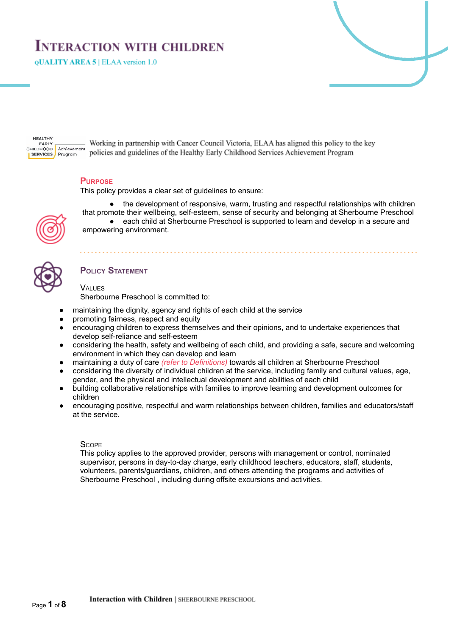# **INTERACTION WITH CHILDREN**

**QUALITY AREA 5 | ELAA version 1.0** 

**HEALTHY** EARLY<br>CHILDHOOD Achievement **SERVICES** Program

Working in partnership with Cancer Council Victoria, ELAA has aligned this policy to the key policies and guidelines of the Healthy Early Childhood Services Achievement Program

# **PURPOSE**

This policy provides a clear set of guidelines to ensure:



the development of responsive, warm, trusting and respectful relationships with children that promote their wellbeing, self-esteem, sense of security and belonging at Sherbourne Preschool ● each child at Sherbourne Preschool is supported to learn and develop in a secure and

# **POLICY STATEMENT**

# VALUES

Sherbourne Preschool is committed to:

- maintaining the dignity, agency and rights of each child at the service
- promoting fairness, respect and equity

empowering environment.

- encouraging children to express themselves and their opinions, and to undertake experiences that develop self-reliance and self-esteem
- considering the health, safety and wellbeing of each child, and providing a safe, secure and welcoming environment in which they can develop and learn
- maintaining a duty of care *(refer to Definitions)* towards all children at Sherbourne Preschool
- considering the diversity of individual children at the service, including family and cultural values, age, gender, and the physical and intellectual development and abilities of each child
- building collaborative relationships with families to improve learning and development outcomes for children
- encouraging positive, respectful and warm relationships between children, families and educators/staff at the service.

#### **SCOPE**

This policy applies to the approved provider, persons with management or control, nominated supervisor, persons in day-to-day charge, early childhood teachers, educators, staff, students, volunteers, parents/guardians, children, and others attending the programs and activities of Sherbourne Preschool , including during offsite excursions and activities.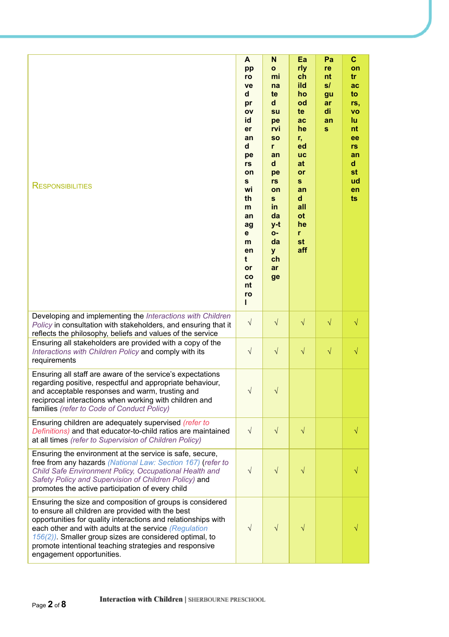| <b>RESPONSIBILITIES</b>                                                                                                                                                                                                                                                                                                                                                                       | A<br>pp<br>ro<br>ve<br>d<br>pr<br>OV<br>id<br>er<br>an<br>d<br>pe<br>rs<br>on<br>s<br>wi<br>th<br>m<br>an<br>ag<br>е<br>m<br>en<br>t<br>or<br>co<br>nt<br>ro | N<br>$\mathbf{o}$<br>mi<br>na<br>te<br>d<br>su<br>pe<br>rvi<br><b>SO</b><br>r<br>an<br>d<br>pe<br>rs<br>on<br>S<br>in<br>da<br>y-t<br>O-<br>da<br>y<br>ch<br>ar<br>ge | Ea<br>rly<br>ch<br>ild<br>ho<br>od<br>te<br>ac<br>he<br>r,<br>ed<br><b>UC</b><br>at<br>or<br>S<br>an<br>d<br>all<br><b>ot</b><br>he<br>r<br>st<br>aff | Pa<br>re<br>nt<br>s/<br>gu<br>ar<br>di<br>an<br>$\mathbf{s}$ | C<br>on<br>tr<br>ac<br>to<br>rs,<br><b>VO</b><br>lu<br>nt<br>ee<br>rs<br>an<br>$\mathbf d$<br>st<br>ud<br>en<br>ts |
|-----------------------------------------------------------------------------------------------------------------------------------------------------------------------------------------------------------------------------------------------------------------------------------------------------------------------------------------------------------------------------------------------|--------------------------------------------------------------------------------------------------------------------------------------------------------------|-----------------------------------------------------------------------------------------------------------------------------------------------------------------------|-------------------------------------------------------------------------------------------------------------------------------------------------------|--------------------------------------------------------------|--------------------------------------------------------------------------------------------------------------------|
| Developing and implementing the Interactions with Children<br>Policy in consultation with stakeholders, and ensuring that it<br>reflects the philosophy, beliefs and values of the service                                                                                                                                                                                                    | $\sqrt{ }$                                                                                                                                                   | $\sqrt{}$                                                                                                                                                             | $\sqrt{}$                                                                                                                                             | $\sqrt{}$                                                    | $\sqrt{}$                                                                                                          |
| Ensuring all stakeholders are provided with a copy of the<br>Interactions with Children Policy and comply with its<br>requirements                                                                                                                                                                                                                                                            | $\sqrt{ }$                                                                                                                                                   | $\sqrt{}$                                                                                                                                                             | $\sqrt{}$                                                                                                                                             | $\sqrt{}$                                                    | V                                                                                                                  |
| Ensuring all staff are aware of the service's expectations<br>regarding positive, respectful and appropriate behaviour,<br>and acceptable responses and warm, trusting and<br>reciprocal interactions when working with children and<br>families (refer to Code of Conduct Policy)                                                                                                            | $\sqrt{ }$                                                                                                                                                   |                                                                                                                                                                       |                                                                                                                                                       |                                                              |                                                                                                                    |
| Ensuring children are adequately supervised (refer to<br>Definitions) and that educator-to-child ratios are maintained<br>at all times (refer to Supervision of Children Policy)                                                                                                                                                                                                              | $\sqrt{ }$                                                                                                                                                   | $\sqrt{}$                                                                                                                                                             | $\sqrt{}$                                                                                                                                             |                                                              | √                                                                                                                  |
| Ensuring the environment at the service is safe, secure,<br>free from any hazards (National Law: Section 167) (refer to<br>Child Safe Environment Policy, Occupational Health and<br>Safety Policy and Supervision of Children Policy) and<br>promotes the active participation of every child                                                                                                | $\sqrt{}$                                                                                                                                                    | $\sqrt{}$                                                                                                                                                             | $\sqrt{}$                                                                                                                                             |                                                              |                                                                                                                    |
| Ensuring the size and composition of groups is considered<br>to ensure all children are provided with the best<br>opportunities for quality interactions and relationships with<br>each other and with adults at the service (Regulation<br>$156(2)$ ). Smaller group sizes are considered optimal, to<br>promote intentional teaching strategies and responsive<br>engagement opportunities. | $\sqrt{ }$                                                                                                                                                   | $\sqrt{}$                                                                                                                                                             | $\sqrt{}$                                                                                                                                             |                                                              |                                                                                                                    |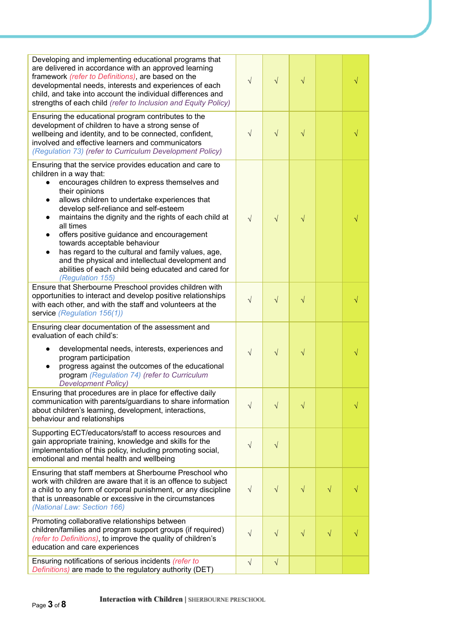| Developing and implementing educational programs that<br>are delivered in accordance with an approved learning<br>framework (refer to Definitions), are based on the<br>developmental needs, interests and experiences of each<br>child, and take into account the individual differences and<br>strengths of each child (refer to Inclusion and Equity Policy)                                                                                                                                                                                                                                                                                 | $\sqrt{}$  | $\sqrt{ }$ | $\sqrt{}$ |           |   |
|-------------------------------------------------------------------------------------------------------------------------------------------------------------------------------------------------------------------------------------------------------------------------------------------------------------------------------------------------------------------------------------------------------------------------------------------------------------------------------------------------------------------------------------------------------------------------------------------------------------------------------------------------|------------|------------|-----------|-----------|---|
| Ensuring the educational program contributes to the<br>development of children to have a strong sense of<br>wellbeing and identity, and to be connected, confident,<br>involved and effective learners and communicators<br>(Regulation 73) (refer to Curriculum Development Policy)                                                                                                                                                                                                                                                                                                                                                            | $\sqrt{}$  | $\sqrt{}$  | $\sqrt{}$ |           |   |
| Ensuring that the service provides education and care to<br>children in a way that:<br>encourages children to express themselves and<br>their opinions<br>allows children to undertake experiences that<br>$\bullet$<br>develop self-reliance and self-esteem<br>maintains the dignity and the rights of each child at<br>$\bullet$<br>all times<br>offers positive guidance and encouragement<br>$\bullet$<br>towards acceptable behaviour<br>has regard to the cultural and family values, age,<br>$\bullet$<br>and the physical and intellectual development and<br>abilities of each child being educated and cared for<br>(Regulation 155) | $\sqrt{ }$ | $\sqrt{ }$ | $\sqrt{}$ |           | √ |
| Ensure that Sherbourne Preschool provides children with<br>opportunities to interact and develop positive relationships<br>with each other, and with the staff and volunteers at the<br>service (Regulation 156(1))                                                                                                                                                                                                                                                                                                                                                                                                                             | $\sqrt{ }$ | $\sqrt{}$  | $\sqrt{}$ |           |   |
| Ensuring clear documentation of the assessment and<br>evaluation of each child's:<br>developmental needs, interests, experiences and<br>$\bullet$<br>program participation<br>progress against the outcomes of the educational<br>$\bullet$<br>program (Regulation 74) (refer to Curriculum<br><b>Development Policy)</b>                                                                                                                                                                                                                                                                                                                       | $\sqrt{}$  | $\sqrt{}$  | $\sqrt{}$ |           |   |
| Ensuring that procedures are in place for effective daily<br>communication with parents/guardians to share information<br>about children's learning, development, interactions,<br>behaviour and relationships                                                                                                                                                                                                                                                                                                                                                                                                                                  | $\sqrt{}$  | $\sqrt{}$  | $\sqrt{}$ |           | V |
| Supporting ECT/educators/staff to access resources and<br>gain appropriate training, knowledge and skills for the<br>implementation of this policy, including promoting social,<br>emotional and mental health and wellbeing                                                                                                                                                                                                                                                                                                                                                                                                                    | $\sqrt{}$  | $\sqrt{}$  |           |           |   |
| Ensuring that staff members at Sherbourne Preschool who<br>work with children are aware that it is an offence to subject<br>a child to any form of corporal punishment, or any discipline<br>that is unreasonable or excessive in the circumstances<br>(National Law: Section 166)                                                                                                                                                                                                                                                                                                                                                              | $\sqrt{}$  | $\sqrt{}$  | $\sqrt{}$ | $\sqrt{}$ |   |
| Promoting collaborative relationships between<br>children/families and program support groups (if required)<br>(refer to Definitions), to improve the quality of children's<br>education and care experiences                                                                                                                                                                                                                                                                                                                                                                                                                                   | V          | $\sqrt{}$  | $\sqrt{}$ | $\sqrt{}$ |   |
| Ensuring notifications of serious incidents (refer to<br>Definitions) are made to the regulatory authority (DET)                                                                                                                                                                                                                                                                                                                                                                                                                                                                                                                                | $\sqrt{}$  | $\sqrt{}$  |           |           |   |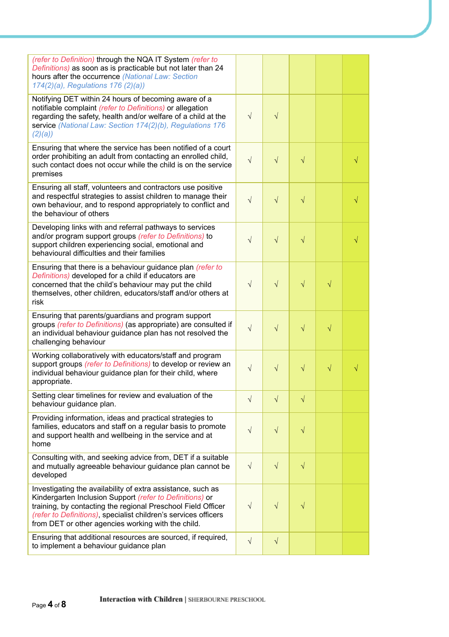| (refer to Definition) through the NQA IT System (refer to<br>Definitions) as soon as is practicable but not later than 24<br>hours after the occurrence (National Law: Section<br>174(2)(a), Regulations 176 (2)(a))                                                                                             |           |            |           |           |           |
|------------------------------------------------------------------------------------------------------------------------------------------------------------------------------------------------------------------------------------------------------------------------------------------------------------------|-----------|------------|-----------|-----------|-----------|
| Notifying DET within 24 hours of becoming aware of a<br>notifiable complaint (refer to Definitions) or allegation<br>regarding the safety, health and/or welfare of a child at the<br>service (National Law: Section 174(2)(b), Regulations 176<br>(2)(a)                                                        | $\sqrt{}$ | $\sqrt{}$  |           |           |           |
| Ensuring that where the service has been notified of a court<br>order prohibiting an adult from contacting an enrolled child,<br>such contact does not occur while the child is on the service<br>premises                                                                                                       | $\sqrt{}$ | $\sqrt{ }$ | $\sqrt{}$ |           | √         |
| Ensuring all staff, volunteers and contractors use positive<br>and respectful strategies to assist children to manage their<br>own behaviour, and to respond appropriately to conflict and<br>the behaviour of others                                                                                            | $\sqrt{}$ | $\sqrt{}$  | $\sqrt{}$ |           | √         |
| Developing links with and referral pathways to services<br>and/or program support groups (refer to Definitions) to<br>support children experiencing social, emotional and<br>behavioural difficulties and their families                                                                                         | $\sqrt{}$ | $\sqrt{}$  | $\sqrt{}$ |           |           |
| Ensuring that there is a behaviour guidance plan (refer to<br>Definitions) developed for a child if educators are<br>concerned that the child's behaviour may put the child<br>themselves, other children, educators/staff and/or others at<br>risk                                                              | $\sqrt{}$ | $\sqrt{}$  | $\sqrt{}$ | $\sqrt{}$ |           |
| Ensuring that parents/guardians and program support<br>groups (refer to Definitions) (as appropriate) are consulted if<br>an individual behaviour guidance plan has not resolved the<br>challenging behaviour                                                                                                    | $\sqrt{}$ | $\sqrt{ }$ | $\sqrt{}$ | $\sqrt{}$ |           |
| Working collaboratively with educators/staff and program<br>support groups (refer to Definitions) to develop or review an<br>individual behaviour guidance plan for their child, where<br>appropriate.                                                                                                           | $\sqrt{}$ | $\sqrt{}$  | $\sqrt{}$ | $\sqrt{}$ | $\sqrt{}$ |
| Setting clear timelines for review and evaluation of the<br>behaviour guidance plan.                                                                                                                                                                                                                             | V         | $\sqrt{}$  | $\sqrt{}$ |           |           |
| Providing information, ideas and practical strategies to<br>families, educators and staff on a regular basis to promote<br>and support health and wellbeing in the service and at<br>home                                                                                                                        | $\sqrt{}$ | $\sqrt{}$  | $\sqrt{}$ |           |           |
| Consulting with, and seeking advice from, DET if a suitable<br>and mutually agreeable behaviour guidance plan cannot be<br>developed                                                                                                                                                                             | $\sqrt{}$ | $\sqrt{}$  | $\sqrt{}$ |           |           |
| Investigating the availability of extra assistance, such as<br>Kindergarten Inclusion Support (refer to Definitions) or<br>training, by contacting the regional Preschool Field Officer<br>(refer to Definitions), specialist children's services officers<br>from DET or other agencies working with the child. | $\sqrt{}$ | $\sqrt{}$  | $\sqrt{}$ |           |           |
| Ensuring that additional resources are sourced, if required,<br>to implement a behaviour guidance plan                                                                                                                                                                                                           | $\sqrt{}$ | $\sqrt{ }$ |           |           |           |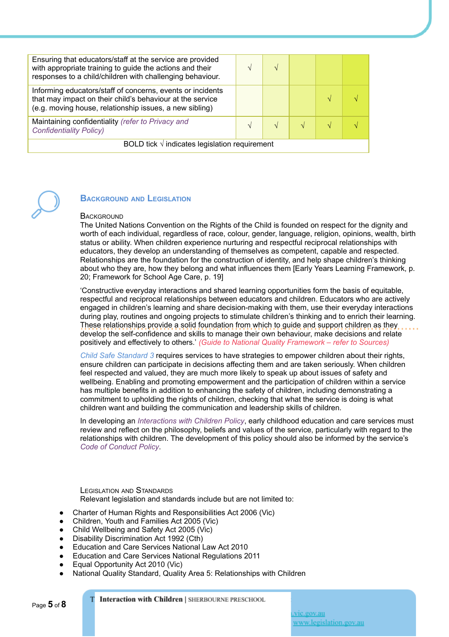| Ensuring that educators/staff at the service are provided<br>with appropriate training to guide the actions and their<br>responses to a child/children with challenging behaviour. |  |  |  |  |  |  |
|------------------------------------------------------------------------------------------------------------------------------------------------------------------------------------|--|--|--|--|--|--|
| Informing educators/staff of concerns, events or incidents<br>that may impact on their child's behaviour at the service<br>(e.g. moving house, relationship issues, a new sibling) |  |  |  |  |  |  |
| Maintaining confidentiality (refer to Privacy and<br><b>Confidentiality Policy)</b>                                                                                                |  |  |  |  |  |  |
| BOLD tick $\sqrt{}$ indicates legislation requirement                                                                                                                              |  |  |  |  |  |  |



#### **BACKGROUND AND LEGISLATION**

#### **BACKGROUND**

The United Nations Convention on the Rights of the Child is founded on respect for the dignity and worth of each individual, regardless of race, colour, gender, language, religion, opinions, wealth, birth status or ability. When children experience nurturing and respectful reciprocal relationships with educators, they develop an understanding of themselves as competent, capable and respected. Relationships are the foundation for the construction of identity, and help shape children's thinking about who they are, how they belong and what influences them [Early Years Learning Framework, p. 20; Framework for School Age Care, p. 19]

'Constructive everyday interactions and shared learning opportunities form the basis of equitable, respectful and reciprocal relationships between educators and children. Educators who are actively engaged in children's learning and share decision-making with them, use their everyday interactions during play, routines and ongoing projects to stimulate children's thinking and to enrich their learning. These relationships provide a solid foundation from which to guide and support children as they develop the self-confidence and skills to manage their own behaviour, make decisions and relate positively and effectively to others.' *(Guide to National Quality Framework – refer to Sources)*

*Child Safe Standard 3* requires services to have strategies to empower children about their rights, ensure children can participate in decisions affecting them and are taken seriously. When children feel respected and valued, they are much more likely to speak up about issues of safety and wellbeing. Enabling and promoting empowerment and the participation of children within a service has multiple benefits in addition to enhancing the safety of children, including demonstrating a commitment to upholding the rights of children, checking that what the service is doing is what children want and building the communication and leadership skills of children.

In developing an *Interactions with Children Policy*, early childhood education and care services must review and reflect on the philosophy, beliefs and values of the service, particularly with regard to the relationships with children. The development of this policy should also be informed by the service's *Code of Conduct Policy*.

LEGISLATION AND STANDARDS Relevant legislation and standards include but are not limited to:

- Charter of Human Rights and Responsibilities Act 2006 (Vic)
- Children, Youth and Families Act 2005 (Vic)
- Child Wellbeing and Safety Act 2005 (Vic)
- Disability Discrimination Act 1992 (Cth)
- Education and Care Services National Law Act 2010
- **Education and Care Services National Regulations 2011**
- Equal Opportunity Act 2010 (Vic)
- National Quality Standard, Quality Area 5: Relationships with Children

Interaction with Children | SHERBOURNE PRESCHOOL

vic.gov.au www.legislation.gov.au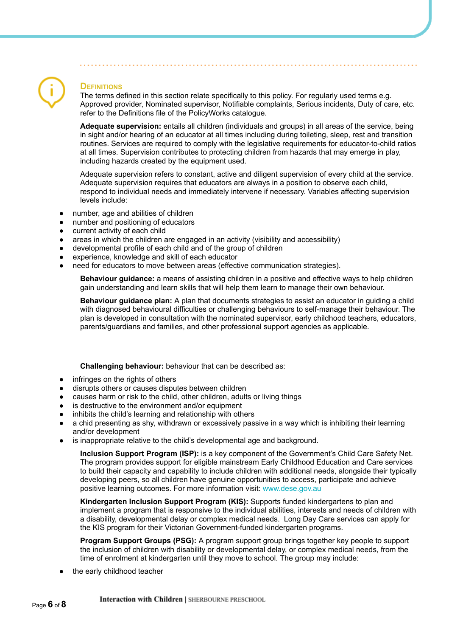### **DEFINITIONS**

The terms defined in this section relate specifically to this policy. For regularly used terms e.g. Approved provider, Nominated supervisor, Notifiable complaints, Serious incidents, Duty of care, etc. refer to the Definitions file of the PolicyWorks catalogue.

**Adequate supervision:** entails all children (individuals and groups) in all areas of the service, being in sight and/or hearing of an educator at all times including during toileting, sleep, rest and transition routines. Services are required to comply with the legislative requirements for educator-to-child ratios at all times. Supervision contributes to protecting children from hazards that may emerge in play, including hazards created by the equipment used.

Adequate supervision refers to constant, active and diligent supervision of every child at the service. Adequate supervision requires that educators are always in a position to observe each child, respond to individual needs and immediately intervene if necessary. Variables affecting supervision levels include:

- number, age and abilities of children
- number and positioning of educators
- current activity of each child
- areas in which the children are engaged in an activity (visibility and accessibility)
- developmental profile of each child and of the group of children
- experience, knowledge and skill of each educator
- heed for educators to move between areas (effective communication strategies).

**Behaviour guidance:** a means of assisting children in a positive and effective ways to help children gain understanding and learn skills that will help them learn to manage their own behaviour.

**Behaviour guidance plan:** A plan that documents strategies to assist an educator in guiding a child with diagnosed behavioural difficulties or challenging behaviours to self-manage their behaviour. The plan is developed in consultation with the nominated supervisor, early childhood teachers, educators, parents/guardians and families, and other professional support agencies as applicable.

#### **Challenging behaviour:** behaviour that can be described as:

- infringes on the rights of others
- disrupts others or causes disputes between children
- causes harm or risk to the child, other children, adults or living things
- is destructive to the environment and/or equipment
- inhibits the child's learning and relationship with others
- a chid presenting as shy, withdrawn or excessively passive in a way which is inhibiting their learning and/or development
- is inappropriate relative to the child's developmental age and background.

**Inclusion Support Program (ISP):** is a key component of the Government's Child Care Safety Net. The program provides support for eligible mainstream Early Childhood Education and Care services to build their capacity and capability to include children with additional needs, alongside their typically developing peers, so all children have genuine opportunities to access, participate and achieve positive learning outcomes. For more information visit: [www.dese.gov.au](https://www.dese.gov.au/)

**Kindergarten Inclusion Support Program (KIS):** Supports funded kindergartens to plan and implement a program that is responsive to the individual abilities, interests and needs of children with a disability, developmental delay or complex medical needs. Long Day Care services can apply for the KIS program for their Victorian Government-funded kindergarten programs.

**Program Support Groups (PSG):** A program support group brings together key people to support the inclusion of children with disability or developmental delay, or complex medical needs, from the time of enrolment at kindergarten until they move to school. The group may include:

the early childhood teacher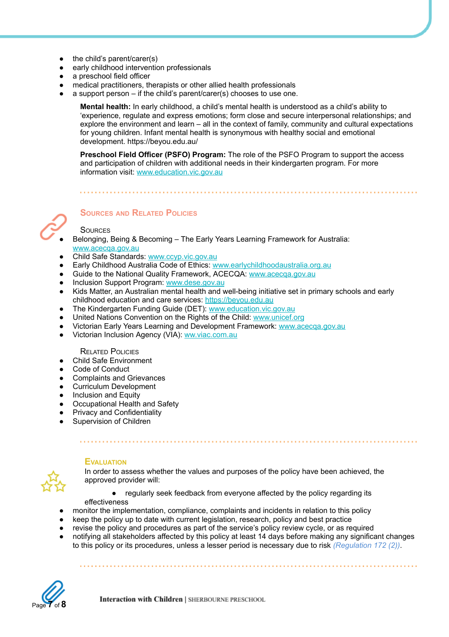- $\bullet$  the child's parent/carer(s)
- early childhood intervention professionals
- a preschool field officer
- medical practitioners, therapists or other allied health professionals
- a support person if the child's parent/carer(s) chooses to use one.

**Mental health:** In early childhood, a child's mental health is understood as a child's ability to 'experience, regulate and express emotions; form close and secure interpersonal relationships; and explore the environment and learn – all in the context of family, community and cultural expectations for young children. Infant mental health is synonymous with healthy social and emotional development. https://beyou.edu.au/

**Preschool Field Officer (PSFO) Program:** The role of the PSFO Program to support the access and participation of children with additional needs in their kindergarten program. For more information visit: [www.education.vic.gov.au](http://www.education.vic.gov.au/)



# **SOURCES AND RELATED POLICIES**

#### **SOURCES**

- Belonging, Being & Becoming The Early Years Learning Framework for Australia: [www.acecqa.gov.au](http://www.acecqa.gov.au/)
- Child Safe Standards: [www.ccyp.vic.gov.au](https://ccyp.vic.gov.au/)
- Early Childhood Australia Code of Ethics: [www.earlychildhoodaustralia.org.au](http://www.earlychildhoodaustralia.org.au/)
- Guide to the National Quality Framework, ACECQA: [www.acecqa.gov.au](http://www.acecqa.gov.au/)
- Inclusion Support Program: [www.dese.gov.au](https://www.dese.gov.au/)
- Kids Matter, an Australian mental health and well-being initiative set in primary schools and early childhood education and care services: [https://beyou.edu.au](https://beyou.edu.au/)
- The Kindergarten Funding Guide (DET): [www.education.vic.gov.au](https://www.education.vic.gov.au/Pages/default.aspx)
- United Nations Convention on the Rights of the Child: [www.unicef.org](https://www.unicef.org/)
- Victorian Early Years Learning and Development Framework: [www.acecqa.gov.au](http://www.acecqa.gov.au/)
- Victorian Inclusion Agency (VIA): [ww.viac.com.au](https://viac.com.au/)

#### RELATED POLICIES

- **Child Safe Environment**
- Code of Conduct
- Complaints and Grievances
- Curriculum Development
- **Inclusion and Equity**
- Occupational Health and Safety
- **Privacy and Confidentiality**
- Supervision of Children



#### **EVALUATION**

In order to assess whether the values and purposes of the policy have been achieved, the approved provider will:

● regularly seek feedback from everyone affected by the policy regarding its

- effectiveness
- monitor the implementation, compliance, complaints and incidents in relation to this policy
- keep the policy up to date with current legislation, research, policy and best practice
- revise the policy and procedures as part of the service's policy review cycle, or as required
- notifying all stakeholders affected by this policy at least 14 days before making any significant changes to this policy or its procedures, unless a lesser period is necessary due to risk *(Regulation 172 (2))*.